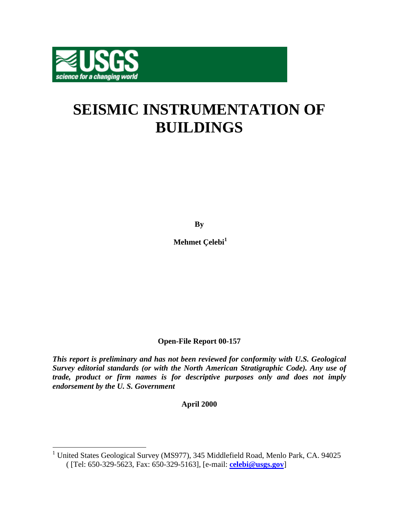

# **SEISMIC INSTRUMENTATION OF BUILDINGS**

**By** 

Mehmet Çelebi<sup>1</sup>

**Open-File Report 00-157** 

*This report is preliminary and has not been reviewed for conformity with U.S. Geological Survey editorial standards (or with the North American Stratigraphic Code). Any use of trade, product or firm names is for descriptive purposes only and does not imply endorsement by the U. S. Government*

**April 2000** 

 1 United States Geological Survey (MS977), 345 Middlefield Road, Menlo Park, CA. 94025 ( [Tel: 650-329-5623, Fax: 650-329-5163], [e-mail: **celebi@usgs.gov**]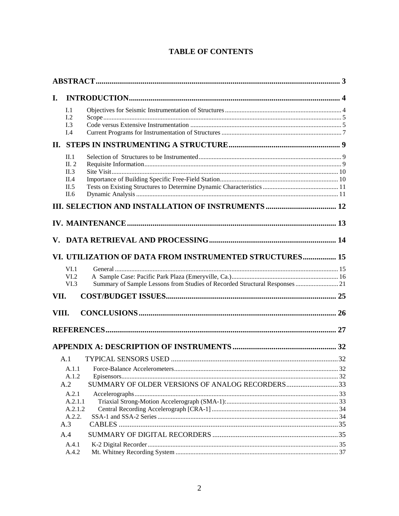# **TABLE OF CONTENTS**

| I.    |                  |                                                                             |    |
|-------|------------------|-----------------------------------------------------------------------------|----|
|       | I.1              |                                                                             |    |
|       | I.2<br>I.3       |                                                                             |    |
|       | I.4              |                                                                             |    |
|       |                  |                                                                             |    |
|       | II.1             |                                                                             |    |
|       | II. 2            |                                                                             |    |
|       | II.3             |                                                                             |    |
|       | II.4<br>II.5     |                                                                             |    |
|       | II.6             |                                                                             |    |
|       |                  |                                                                             |    |
|       |                  |                                                                             |    |
|       |                  |                                                                             |    |
| V.    |                  |                                                                             |    |
|       |                  | VI. UTILIZATION OF DATA FROM INSTRUMENTED STRUCTURES 15                     |    |
|       | VI.1             |                                                                             |    |
|       | VI.2             |                                                                             |    |
|       | VI.3             | Summary of Sample Lessons from Studies of Recorded Structural Responses  21 |    |
| VII.  |                  |                                                                             |    |
| VIII. |                  |                                                                             |    |
|       |                  |                                                                             |    |
|       |                  |                                                                             |    |
|       |                  |                                                                             |    |
|       | A.1              |                                                                             |    |
|       |                  |                                                                             | 32 |
|       | A.1.2            |                                                                             |    |
|       | A.2              | SUMMARY OF OLDER VERSIONS OF ANALOG RECORDERS33                             |    |
|       | A.2.1<br>A.2.1.1 |                                                                             |    |
|       | A.2.1.2          |                                                                             |    |
|       | A.2.2.           |                                                                             |    |
|       | A.3              |                                                                             |    |
|       | A.4              |                                                                             |    |
|       | A.4.1            |                                                                             |    |
|       | A.4.2            |                                                                             |    |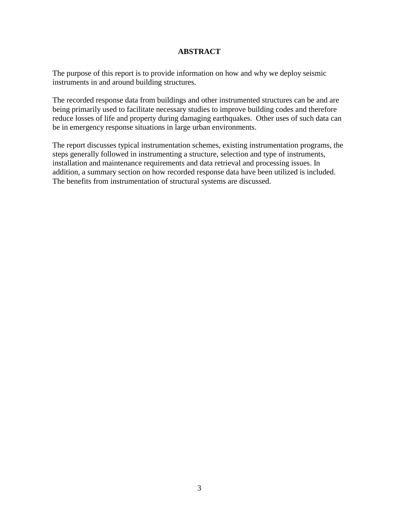## **ABSTRACT**

<span id="page-2-0"></span>The purpose of this report is to provide information on how and why we deploy seismic instruments in and around building structures.

The recorded response data from buildings and other instrumented structures can be and are being primarily used to facilitate necessary studies to improve building codes and therefore reduce losses of life and property during damaging earthquakes. Other uses of such data can be in emergency response situations in large urban environments.

The report discusses typical instrumentation schemes, existing instrumentation programs, the steps generally followed in instrumenting a structure, selection and type of instruments, installation and maintenance requirements and data retrieval and processing issues. In addition, a summary section on how recorded response data have been utilized is included. The benefits from instrumentation of structural systems are discussed.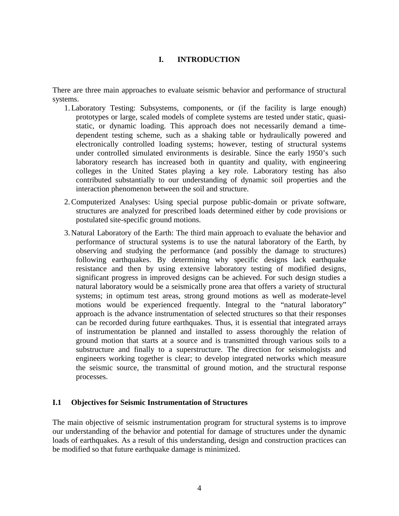## **I. INTRODUCTION**

<span id="page-3-0"></span>There are three main approaches to evaluate seismic behavior and performance of structural systems.

- 1. Laboratory Testing: Subsystems, components, or (if the facility is large enough) prototypes or large, scaled models of complete systems are tested under static, quasistatic, or dynamic loading. This approach does not necessarily demand a timedependent testing scheme, such as a shaking table or hydraulically powered and electronically controlled loading systems; however, testing of structural systems under controlled simulated environments is desirable. Since the early 1950's such laboratory research has increased both in quantity and quality, with engineering colleges in the United States playing a key role. Laboratory testing has also contributed substantially to our understanding of dynamic soil properties and the interaction phenomenon between the soil and structure.
- 2. Computerized Analyses: Using special purpose public-domain or private software, structures are analyzed for prescribed loads determined either by code provisions or postulated site-specific ground motions.
- 3. Natural Laboratory of the Earth: The third main approach to evaluate the behavior and performance of structural systems is to use the natural laboratory of the Earth, by observing and studying the performance (and possibly the damage to structures) following earthquakes. By determining why specific designs lack earthquake resistance and then by using extensive laboratory testing of modified designs, significant progress in improved designs can be achieved. For such design studies a natural laboratory would be a seismically prone area that offers a variety of structural systems; in optimum test areas, strong ground motions as well as moderate-level motions would be experienced frequently. Integral to the "natural laboratory" approach is the advance instrumentation of selected structures so that their responses can be recorded during future earthquakes. Thus, it is essential that integrated arrays of instrumentation be planned and installed to assess thoroughly the relation of ground motion that starts at a source and is transmitted through various soils to a substructure and finally to a superstructure. The direction for seismologists and engineers working together is clear; to develop integrated networks which measure the seismic source, the transmittal of ground motion, and the structural response processes.

#### **I.1 Objectives for Seismic Instrumentation of Structures**

The main objective of seismic instrumentation program for structural systems is to improve our understanding of the behavior and potential for damage of structures under the dynamic loads of earthquakes. As a result of this understanding, design and construction practices can be modified so that future earthquake damage is minimized.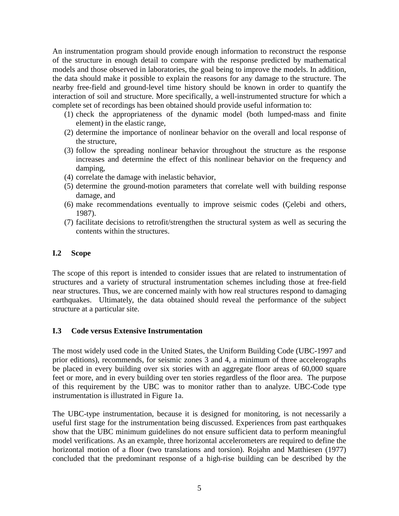<span id="page-4-0"></span>An instrumentation program should provide enough information to reconstruct the response of the structure in enough detail to compare with the response predicted by mathematical models and those observed in laboratories, the goal being to improve the models. In addition, the data should make it possible to explain the reasons for any damage to the structure. The nearby free-field and ground-level time history should be known in order to quantify the interaction of soil and structure. More specifically, a well-instrumented structure for which a complete set of recordings has been obtained should provide useful information to:

- (1) check the appropriateness of the dynamic model (both lumped-mass and finite element) in the elastic range,
- (2) determine the importance of nonlinear behavior on the overall and local response of the structure,
- (3) follow the spreading nonlinear behavior throughout the structure as the response increases and determine the effect of this nonlinear behavior on the frequency and damping,
- (4) correlate the damage with inelastic behavior,
- (5) determine the ground-motion parameters that correlate well with building response damage, and
- (6) make recommendations eventually to improve seismic codes (Çelebi and others, 1987).
- (7) facilitate decisions to retrofit/strengthen the structural system as well as securing the contents within the structures.

#### **I.2 Scope**

The scope of this report is intended to consider issues that are related to instrumentation of structures and a variety of structural instrumentation schemes including those at free-field near structures. Thus, we are concerned mainly with how real structures respond to damaging earthquakes. Ultimately, the data obtained should reveal the performance of the subject structure at a particular site.

## **I.3 Code versus Extensive Instrumentation**

The most widely used code in the United States, the Uniform Building Code (UBC-1997 and prior editions), recommends, for seismic zones 3 and 4, a minimum of three accelerographs be placed in every building over six stories with an aggregate floor areas of 60,000 square feet or more, and in every building over ten stories regardless of the floor area. The purpose of this requirement by the UBC was to monitor rather than to analyze. UBC-Code type instrumentation is illustrated in Figure 1a.

The UBC-type instrumentation, because it is designed for monitoring, is not necessarily a useful first stage for the instrumentation being discussed. Experiences from past earthquakes show that the UBC minimum guidelines do not ensure sufficient data to perform meaningful model verifications. As an example, three horizontal accelerometers are required to define the horizontal motion of a floor (two translations and torsion). Rojahn and Matthiesen (1977) concluded that the predominant response of a high-rise building can be described by the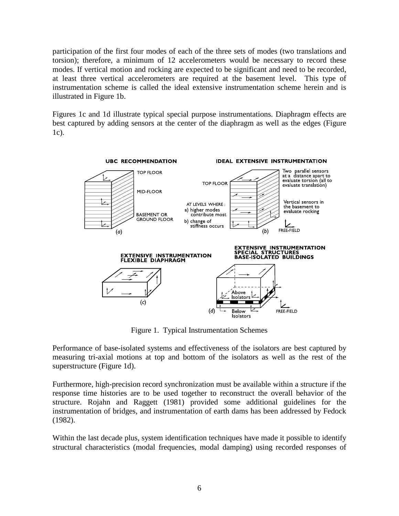participation of the first four modes of each of the three sets of modes (two translations and torsion); therefore, a minimum of 12 accelerometers would be necessary to record these modes. If vertical motion and rocking are expected to be significant and need to be recorded, at least three vertical accelerometers are required at the basement level. This type of instrumentation scheme is called the ideal extensive instrumentation scheme herein and is illustrated in Figure 1b.

Figures 1c and 1d illustrate typical special purpose instrumentations. Diaphragm effects are best captured by adding sensors at the center of the diaphragm as well as the edges (Figure 1c).



Figure 1. Typical Instrumentation Schemes

Performance of base-isolated systems and effectiveness of the isolators are best captured by measuring tri-axial motions at top and bottom of the isolators as well as the rest of the superstructure (Figure 1d).

Furthermore, high-precision record synchronization must be available within a structure if the response time histories are to be used together to reconstruct the overall behavior of the structure. Rojahn and Raggett (1981) provided some additional guidelines for the instrumentation of bridges, and instrumentation of earth dams has been addressed by Fedock (1982).

Within the last decade plus, system identification techniques have made it possible to identify structural characteristics (modal frequencies, modal damping) using recorded responses of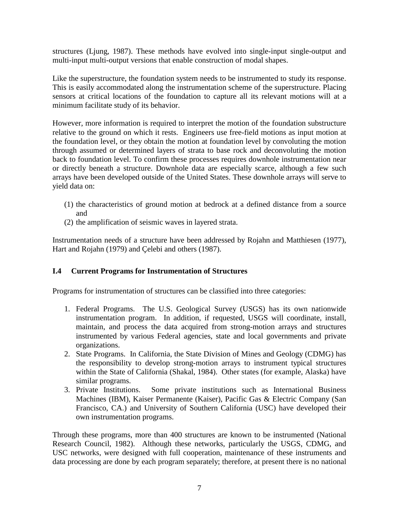<span id="page-6-0"></span>structures (Ljung, 1987). These methods have evolved into single-input single-output and multi-input multi-output versions that enable construction of modal shapes.

Like the superstructure, the foundation system needs to be instrumented to study its response. This is easily accommodated along the instrumentation scheme of the superstructure. Placing sensors at critical locations of the foundation to capture all its relevant motions will at a minimum facilitate study of its behavior.

However, more information is required to interpret the motion of the foundation substructure relative to the ground on which it rests. Engineers use free-field motions as input motion at the foundation level, or they obtain the motion at foundation level by convoluting the motion through assumed or determined layers of strata to base rock and deconvoluting the motion back to foundation level. To confirm these processes requires downhole instrumentation near or directly beneath a structure. Downhole data are especially scarce, although a few such arrays have been developed outside of the United States. These downhole arrays will serve to yield data on:

- (1) the characteristics of ground motion at bedrock at a defined distance from a source and
- (2) the amplification of seismic waves in layered strata.

Instrumentation needs of a structure have been addressed by Rojahn and Matthiesen (1977), Hart and Rojahn (1979) and Çelebi and others (1987).

## **I.4 Current Programs for Instrumentation of Structures**

Programs for instrumentation of structures can be classified into three categories:

- 1. Federal Programs. The U.S. Geological Survey (USGS) has its own nationwide instrumentation program. In addition, if requested, USGS will coordinate, install, maintain, and process the data acquired from strong-motion arrays and structures instrumented by various Federal agencies, state and local governments and private organizations.
- 2. State Programs. In California, the State Division of Mines and Geology (CDMG) has the responsibility to develop strong-motion arrays to instrument typical structures within the State of California (Shakal, 1984). Other states (for example, Alaska) have similar programs.
- 3. Private Institutions. Some private institutions such as International Business Machines (IBM), Kaiser Permanente (Kaiser), Pacific Gas & Electric Company (San Francisco, CA.) and University of Southern California (USC) have developed their own instrumentation programs.

Through these programs, more than 400 structures are known to be instrumented (National Research Council, 1982). Although these networks, particularly the USGS, CDMG, and USC networks, were designed with full cooperation, maintenance of these instruments and data processing are done by each program separately; therefore, at present there is no national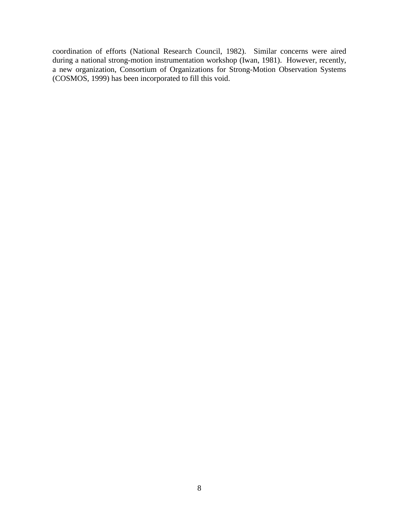coordination of efforts (National Research Council, 1982). Similar concerns were aired during a national strong-motion instrumentation workshop (Iwan, 1981). However, recently, a new organization, Consortium of Organizations for Strong-Motion Observation Systems (COSMOS, 1999) has been incorporated to fill this void.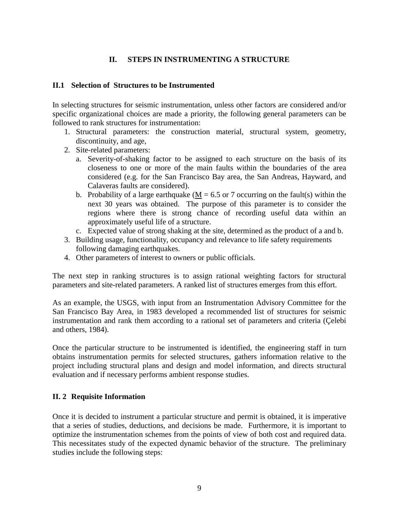## **II. STEPS IN INSTRUMENTING A STRUCTURE**

#### <span id="page-8-0"></span>**II.1 Selection of Structures to be Instrumented**

In selecting structures for seismic instrumentation, unless other factors are considered and/or specific organizational choices are made a priority, the following general parameters can be followed to rank structures for instrumentation:

- 1. Structural parameters: the construction material, structural system, geometry, discontinuity, and age,
- 2. Site-related parameters:
	- a. Severity-of-shaking factor to be assigned to each structure on the basis of its closeness to one or more of the main faults within the boundaries of the area considered (e.g. for the San Francisco Bay area, the San Andreas, Hayward, and Calaveras faults are considered).
	- b. Probability of a large earthquake ( $M = 6.5$  or 7 occurring on the fault(s) within the next 30 years was obtained. The purpose of this parameter is to consider the regions where there is strong chance of recording useful data within an approximately useful life of a structure.
	- c. Expected value of strong shaking at the site, determined as the product of a and b.
- 3. Building usage, functionality, occupancy and relevance to life safety requirements following damaging earthquakes.
- 4. Other parameters of interest to owners or public officials.

The next step in ranking structures is to assign rational weighting factors for structural parameters and site-related parameters. A ranked list of structures emerges from this effort.

As an example, the USGS, with input from an Instrumentation Advisory Committee for the San Francisco Bay Area, in 1983 developed a recommended list of structures for seismic instrumentation and rank them according to a rational set of parameters and criteria (Çelebi and others, 1984).

Once the particular structure to be instrumented is identified, the engineering staff in turn obtains instrumentation permits for selected structures, gathers information relative to the project including structural plans and design and model information, and directs structural evaluation and if necessary performs ambient response studies.

#### **II. 2 Requisite Information**

Once it is decided to instrument a particular structure and permit is obtained, it is imperative that a series of studies, deductions, and decisions be made. Furthermore, it is important to optimize the instrumentation schemes from the points of view of both cost and required data. This necessitates study of the expected dynamic behavior of the structure. The preliminary studies include the following steps: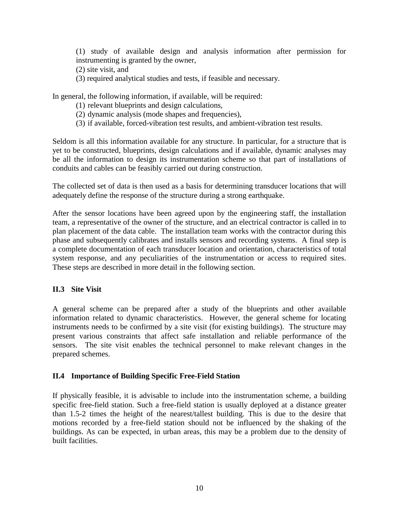<span id="page-9-0"></span> (1) study of available design and analysis information after permission for instrumenting is granted by the owner,

- (2) site visit, and
- (3) required analytical studies and tests, if feasible and necessary.

In general, the following information, if available, will be required:

- (1) relevant blueprints and design calculations,
- (2) dynamic analysis (mode shapes and frequencies),
- (3) if available, forced-vibration test results, and ambient-vibration test results.

Seldom is all this information available for any structure. In particular, for a structure that is yet to be constructed, blueprints, design calculations and if available, dynamic analyses may be all the information to design its instrumentation scheme so that part of installations of conduits and cables can be feasibly carried out during construction.

The collected set of data is then used as a basis for determining transducer locations that will adequately define the response of the structure during a strong earthquake.

After the sensor locations have been agreed upon by the engineering staff, the installation team, a representative of the owner of the structure, and an electrical contractor is called in to plan placement of the data cable. The installation team works with the contractor during this phase and subsequently calibrates and installs sensors and recording systems. A final step is a complete documentation of each transducer location and orientation, characteristics of total system response, and any peculiarities of the instrumentation or access to required sites. These steps are described in more detail in the following section.

## **II.3 Site Visit**

A general scheme can be prepared after a study of the blueprints and other available information related to dynamic characteristics. However, the general scheme for locating instruments needs to be confirmed by a site visit (for existing buildings). The structure may present various constraints that affect safe installation and reliable performance of the sensors. The site visit enables the technical personnel to make relevant changes in the prepared schemes.

#### **II.4 Importance of Building Specific Free-Field Station**

If physically feasible, it is advisable to include into the instrumentation scheme, a building specific free-field station. Such a free-field station is usually deployed at a distance greater than 1.5-2 times the height of the nearest/tallest building. This is due to the desire that motions recorded by a free-field station should not be influenced by the shaking of the buildings. As can be expected, in urban areas, this may be a problem due to the density of built facilities.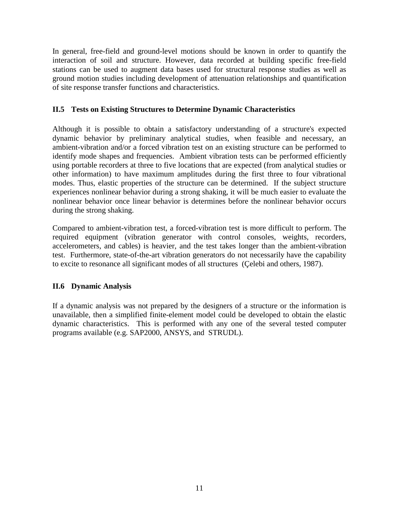<span id="page-10-0"></span>In general, free-field and ground-level motions should be known in order to quantify the interaction of soil and structure. However, data recorded at building specific free-field stations can be used to augment data bases used for structural response studies as well as ground motion studies including development of attenuation relationships and quantification of site response transfer functions and characteristics.

## **II.5 Tests on Existing Structures to Determine Dynamic Characteristics**

Although it is possible to obtain a satisfactory understanding of a structure's expected dynamic behavior by preliminary analytical studies, when feasible and necessary, an ambient-vibration and/or a forced vibration test on an existing structure can be performed to identify mode shapes and frequencies. Ambient vibration tests can be performed efficiently using portable recorders at three to five locations that are expected (from analytical studies or other information) to have maximum amplitudes during the first three to four vibrational modes. Thus, elastic properties of the structure can be determined. If the subject structure experiences nonlinear behavior during a strong shaking, it will be much easier to evaluate the nonlinear behavior once linear behavior is determines before the nonlinear behavior occurs during the strong shaking.

Compared to ambient-vibration test, a forced-vibration test is more difficult to perform. The required equipment (vibration generator with control consoles, weights, recorders, accelerometers, and cables) is heavier, and the test takes longer than the ambient-vibration test. Furthermore, state-of-the-art vibration generators do not necessarily have the capability to excite to resonance all significant modes of all structures (Çelebi and others, 1987).

## **II.6 Dynamic Analysis**

If a dynamic analysis was not prepared by the designers of a structure or the information is unavailable, then a simplified finite-element model could be developed to obtain the elastic dynamic characteristics. This is performed with any one of the several tested computer programs available (e.g. SAP2000, ANSYS, and STRUDL).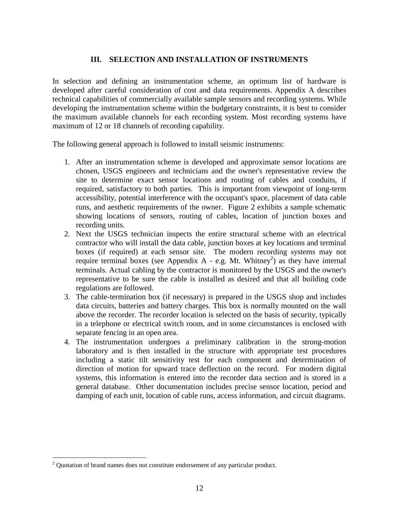## **III. SELECTION AND INSTALLATION OF INSTRUMENTS**

<span id="page-11-0"></span>In selection and defining an instrumentation scheme, an optimum list of hardware is developed after careful consideration of cost and data requirements. Appendix A describes technical capabilities of commercially available sample sensors and recording systems. While developing the instrumentation scheme within the budgetary constraints, it is best to consider the maximum available channels for each recording system. Most recording systems have maximum of 12 or 18 channels of recording capability.

The following general approach is followed to install seismic instruments:

- 1. After an instrumentation scheme is developed and approximate sensor locations are chosen, USGS engineers and technicians and the owner's representative review the site to determine exact sensor locations and routing of cables and conduits, if required, satisfactory to both parties. This is important from viewpoint of long-term accessibility, potential interference with the occupant's space, placement of data cable runs, and aesthetic requirements of the owner. Figure 2 exhibits a sample schematic showing locations of sensors, routing of cables, location of junction boxes and recording units.
- 2. Next the USGS technician inspects the entire structural scheme with an electrical contractor who will install the data cable, junction boxes at key locations and terminal boxes (if required) at each sensor site. The modern recording systems may not require terminal boxes (see Appendix A - e.g. Mt. Whitney<sup>2</sup>) as they have internal terminals. Actual cabling by the contractor is monitored by the USGS and the owner's representative to be sure the cable is installed as desired and that all building code regulations are followed.
- 3. The cable-termination box (if necessary) is prepared in the USGS shop and includes data circuits, batteries and battery charges. This box is normally mounted on the wall above the recorder. The recorder location is selected on the basis of security, typically in a telephone or electrical switch room, and in some circumstances is enclosed with separate fencing in an open area.
- 4. The instrumentation undergoes a preliminary calibration in the strong-motion laboratory and is then installed in the structure with appropriate test procedures including a static tilt sensitivity test for each component and determination of direction of motion for upward trace deflection on the record. For modern digital systems, this information is entered into the recorder data section and is stored in a general database. Other documentation includes precise sensor location, period and damping of each unit, location of cable runs, access information, and circuit diagrams.

 $\overline{a}$ 

 $2$  Quotation of brand names does not constitute endorsement of any particular product.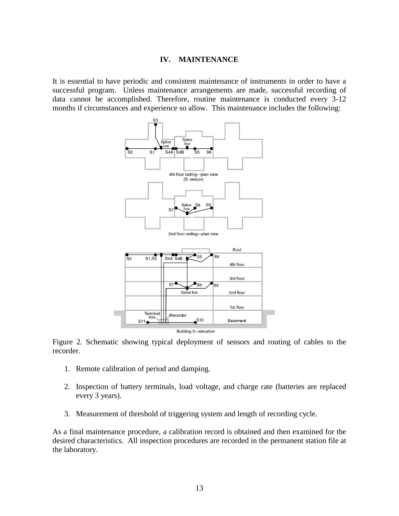#### **IV. MAINTENANCE**

<span id="page-12-0"></span>It is essential to have periodic and consistent maintenance of instruments in order to have a successful program. Unless maintenance arrangements are made, successful recording of data cannot be accomplished. Therefore, routine maintenance is conducted every 3-12 months if circumstances and experience so allow. This maintenance includes the following:



Figure 2. Schematic showing typical deployment of sensors and routing of cables to the recorder.

- 1. Remote calibration of period and damping.
- 2. Inspection of battery terminals, load voltage, and charge rate (batteries are replaced every 3 years).
- 3. Measurement of threshold of triggering system and length of recording cycle.

As a final maintenance procedure, a calibration record is obtained and then examined for the desired characteristics. All inspection procedures are recorded in the permanent station file at the laboratory.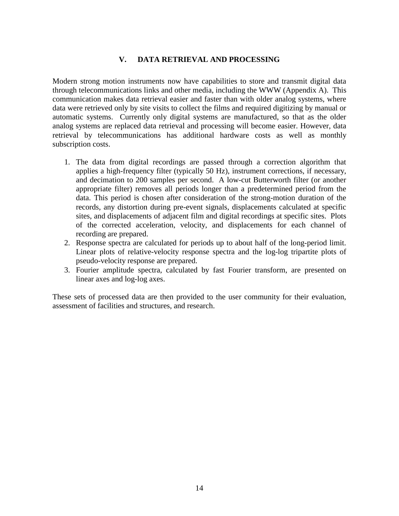#### **V. DATA RETRIEVAL AND PROCESSING**

<span id="page-13-0"></span>Modern strong motion instruments now have capabilities to store and transmit digital data through telecommunications links and other media, including the WWW (Appendix A). This communication makes data retrieval easier and faster than with older analog systems, where data were retrieved only by site visits to collect the films and required digitizing by manual or automatic systems. Currently only digital systems are manufactured, so that as the older analog systems are replaced data retrieval and processing will become easier. However, data retrieval by telecommunications has additional hardware costs as well as monthly subscription costs.

- 1. The data from digital recordings are passed through a correction algorithm that applies a high-frequency filter (typically 50 Hz), instrument corrections, if necessary, and decimation to 200 samples per second. A low-cut Butterworth filter (or another appropriate filter) removes all periods longer than a predetermined period from the data. This period is chosen after consideration of the strong-motion duration of the records, any distortion during pre-event signals, displacements calculated at specific sites, and displacements of adjacent film and digital recordings at specific sites. Plots of the corrected acceleration, velocity, and displacements for each channel of recording are prepared.
- 2. Response spectra are calculated for periods up to about half of the long-period limit. Linear plots of relative-velocity response spectra and the log-log tripartite plots of pseudo-velocity response are prepared.
- 3. Fourier amplitude spectra, calculated by fast Fourier transform, are presented on linear axes and log-log axes.

These sets of processed data are then provided to the user community for their evaluation, assessment of facilities and structures, and research.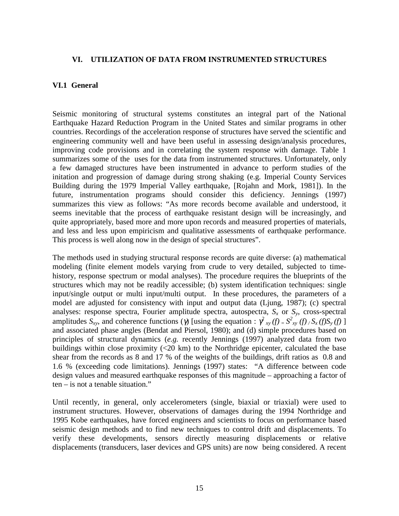#### <span id="page-14-0"></span>**VI. UTILIZATION OF DATA FROM INSTRUMENTED STRUCTURES**

#### **VI.1 General**

Seismic monitoring of structural systems constitutes an integral part of the National Earthquake Hazard Reduction Program in the United States and similar programs in other countries. Recordings of the acceleration response of structures have served the scientific and engineering community well and have been useful in assessing design/analysis procedures, improving code provisions and in correlating the system response with damage. Table 1 summarizes some of the uses for the data from instrumented structures. Unfortunately, only a few damaged structures have been instrumented in advance to perform studies of the initation and progression of damage during strong shaking (e.g. Imperial County Services Building during the 1979 Imperial Valley earthquake, [Rojahn and Mork, 1981]). In the future, instrumentation programs should consider this deficiency. Jennings (1997) summarizes this view as follows: "As more records become available and understood, it seems inevitable that the process of earthquake resistant design will be increasingly, and quite appropriately, based more and more upon records and measured properties of materials, and less and less upon empiricism and qualitative assessments of earthquake performance. This process is well along now in the design of special structures".

The methods used in studying structural response records are quite diverse: (a) mathematical modeling (finite element models varying from crude to very detailed, subjected to timehistory, response spectrum or modal analyses). The procedure requires the blueprints of the structures which may not be readily accessible; (b) system identification techniques: single input/single output or multi input/multi output. In these procedures, the parameters of a model are adjusted for consistency with input and output data (Ljung, 1987); (c) spectral analyses: response spectra, Fourier amplitude spectra, autospectra,  $S_x$  or  $S_y$ , cross-spectral amplitudes  $S_{xy}$ , and coherence functions ( $\gamma$ ) [using the equation :  $\gamma^2_{xy}$  (f) =  $S_{xy}^2$  (f) /  $S_x$  (f) S<sub>y</sub> (f) ] and associated phase angles (Bendat and Piersol, 1980); and (d) simple procedures based on principles of structural dynamics (*e.g.* recently Jennings (1997) analyzed data from two buildings within close proximity  $( $20 \text{ km}$ )$  to the Northridge epicenter, calculated the base shear from the records as 8 and 17 % of the weights of the buildings, drift ratios as 0.8 and 1.6 % (exceeding code limitations). Jennings (1997) states: "A difference between code design values and measured earthquake responses of this magnitude – approaching a factor of ten – is not a tenable situation."

Until recently, in general, only accelerometers (single, biaxial or triaxial) were used to instrument structures. However, observations of damages during the 1994 Northridge and 1995 Kobe earthquakes, have forced engineers and scientists to focus on performance based seismic design methods and to find new techniques to control drift and displacements. To verify these developments, sensors directly measuring displacements or relative displacements (transducers, laser devices and GPS units) are now being considered. A recent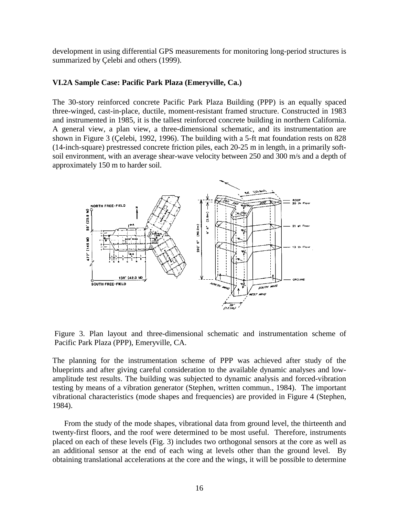<span id="page-15-0"></span>development in using differential GPS measurements for monitoring long-period structures is summarized by Çelebi and others (1999).

#### **VI.2A Sample Case: Pacific Park Plaza (Emeryville, Ca.)**

The 30-story reinforced concrete Pacific Park Plaza Building (PPP) is an equally spaced three-winged, cast-in-place, ductile, moment-resistant framed structure. Constructed in 1983 and instrumented in 1985, it is the tallest reinforced concrete building in northern California. A general view, a plan view, a three-dimensional schematic, and its instrumentation are shown in Figure 3 (Çelebi, 1992, 1996). The building with a 5-ft mat foundation rests on 828 (14-inch-square) prestressed concrete friction piles, each 20-25 m in length, in a primarily softsoil environment, with an average shear-wave velocity between 250 and 300 m/s and a depth of approximately 150 m to harder soil.



Figure 3. Plan layout and three-dimensional schematic and instrumentation scheme of Pacific Park Plaza (PPP), Emeryville, CA.

The planning for the instrumentation scheme of PPP was achieved after study of the blueprints and after giving careful consideration to the available dynamic analyses and lowamplitude test results. The building was subjected to dynamic analysis and forced-vibration testing by means of a vibration generator (Stephen, written commun., 1984). The important vibrational characteristics (mode shapes and frequencies) are provided in Figure 4 (Stephen, 1984).

From the study of the mode shapes, vibrational data from ground level, the thirteenth and twenty-first floors, and the roof were determined to be most useful. Therefore, instruments placed on each of these levels (Fig. 3) includes two orthogonal sensors at the core as well as an additional sensor at the end of each wing at levels other than the ground level. By obtaining translational accelerations at the core and the wings, it will be possible to determine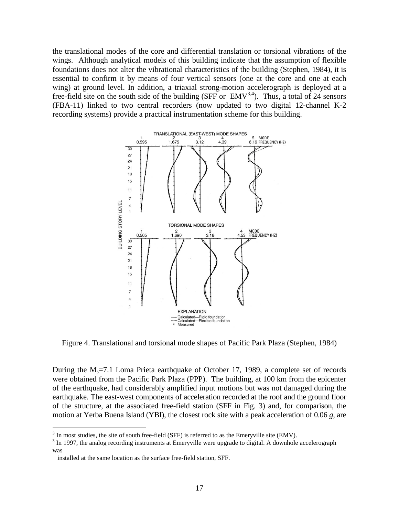the translational modes of the core and differential translation or torsional vibrations of the wings. Although analytical models of this building indicate that the assumption of flexible foundations does not alter the vibrational characteristics of the building (Stephen, 1984), it is essential to confirm it by means of four vertical sensors (one at the core and one at each wing) at ground level. In addition, a triaxial strong-motion accelerograph is deployed at a free-field site on the south side of the building (SFF or  $EMV^{3,4}$ ). Thus, a total of 24 sensors (FBA-11) linked to two central recorders (now updated to two digital 12-channel K-2 recording systems) provide a practical instrumentation scheme for this building.



Figure 4. Translational and torsional mode shapes of Pacific Park Plaza (Stephen, 1984)

During the  $M_s$ =7.1 Loma Prieta earthquake of October 17, 1989, a complete set of records were obtained from the Pacific Park Plaza (PPP). The building, at 100 km from the epicenter of the earthquake, had considerably amplified input motions but was not damaged during the earthquake. The east-west components of acceleration recorded at the roof and the ground floor of the structure, at the associated free-field station (SFF in Fig. 3) and, for comparison, the motion at Yerba Buena Island (YBI), the closest rock site with a peak acceleration of 0.06 *g*, are

 $\overline{a}$ 

 $3 \text{ In most studies, the site of south free-field (SFF) is referred to as the Emerville site (EMV).}$ 

 $3 \text{ In } 1997$ , the analog recording instruments at Emeryville were upgrade to digital. A downhole accelerograph was

installed at the same location as the surface free-field station, SFF.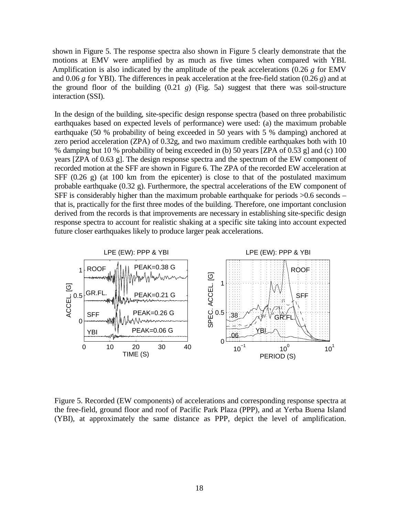shown in Figure 5. The response spectra also shown in Figure 5 clearly demonstrate that the motions at EMV were amplified by as much as five times when compared with YBI. Amplification is also indicated by the amplitude of the peak accelerations (0.26 *g* for EMV and 0.06 *g* for YBI). The differences in peak acceleration at the free-field station (0.26 *g*) and at the ground floor of the building  $(0.21 \text{ g})$  (Fig. 5a) suggest that there was soil-structure interaction (SSI).

In the design of the building, site-specific design response spectra (based on three probabilistic earthquakes based on expected levels of performance) were used: (a) the maximum probable earthquake (50 % probability of being exceeded in 50 years with 5 % damping) anchored at zero period acceleration (ZPA) of 0.32g, and two maximum credible earthquakes both with 10 % damping but 10 % probability of being exceeded in (b) 50 years [ZPA of 0.53 g] and (c) 100 years [ZPA of 0.63 g]. The design response spectra and the spectrum of the EW component of recorded motion at the SFF are shown in Figure 6. The ZPA of the recorded EW acceleration at SFF  $(0.26 \text{ g})$  (at 100 km from the epicenter) is close to that of the postulated maximum probable earthquake (0.32 g). Furthermore, the spectral accelerations of the EW component of SFF is considerably higher than the maximum probable earthquake for periods >0.6 seconds – that is, practically for the first three modes of the building. Therefore, one important conclusion derived from the records is that improvements are necessary in establishing site-specific design response spectra to account for realistic shaking at a specific site taking into account expected future closer earthquakes likely to produce larger peak accelerations.



Figure 5. Recorded (EW components) of accelerations and corresponding response spectra at the free-field, ground floor and roof of Pacific Park Plaza (PPP), and at Yerba Buena Island (YBI), at approximately the same distance as PPP, depict the level of amplification.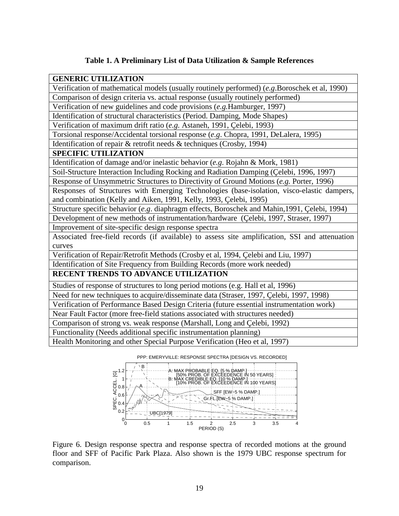## **Table 1. A Preliminary List of Data Utilization & Sample References**

| <b>GENERIC UTILIZATION</b>                                                                     |
|------------------------------------------------------------------------------------------------|
| Verification of mathematical models (usually routinely performed) (e.g.Boroschek et al, 1990)  |
| Comparison of design criteria vs. actual response (usually routinely performed)                |
| Verification of new guidelines and code provisions (e.g. Hamburger, 1997)                      |
| Identification of structural characteristics (Period. Damping, Mode Shapes)                    |
| Verification of maximum drift ratio (e.g. Astaneh, 1991, Çelebi, 1993)                         |
| Torsional response/Accidental torsional response (e.g. Chopra, 1991, DeLalera, 1995)           |
| Identification of repair & retrofit needs & techniques (Crosby, 1994)                          |
| <b>SPECIFIC UTILIZATION</b>                                                                    |
| Identification of damage and/or inelastic behavior (e.g. Rojahn & Mork, 1981)                  |
| Soil-Structure Interaction Including Rocking and Radiation Damping (Çelebi, 1996, 1997)        |
| Response of Unsymmetric Structures to Directivity of Ground Motions (e.g. Porter, 1996)        |
| Responses of Structures with Emerging Technologies (base-isolation, visco-elastic dampers,     |
| and combination (Kelly and Aiken, 1991, Kelly, 1993, Çelebi, 1995)                             |
| Structure specific behavior (e.g. diaphragm effects, Boroschek and Mahin, 1991, Çelebi, 1994)  |
| Development of new methods of instrumentation/hardware (Çelebi, 1997, Straser, 1997)           |
| Improvement of site-specific design response spectra                                           |
| Associated free-field records (if available) to assess site amplification, SSI and attenuation |
| curves                                                                                         |
| Verification of Repair/Retrofit Methods (Crosby et al, 1994, Çelebi and Liu, 1997)             |
| Identification of Site Frequency from Building Records (more work needed)                      |
| RECENT TRENDS TO ADVANCE UTILIZATION                                                           |
| Studies of response of structures to long period motions (e.g. Hall et al, 1996)               |
| Need for new techniques to acquire/disseminate data (Straser, 1997, Çelebi, 1997, 1998)        |
| Verification of Performance Based Design Criteria (future essential instrumentation work)      |
| Near Fault Factor (more free-field stations associated with structures needed)                 |
| Comparison of strong vs. weak response (Marshall, Long and Çelebi, 1992)                       |
| Functionality (Needs additional specific instrumentation planning)                             |
| Health Monitoring and other Special Purpose Verification (Heo et al, 1997)                     |
| PPP: EMERYVILLE: RESPONSE SPECTRA [DESIGN VS. RECORDED]                                        |



Figure 6. Design response spectra and response spectra of recorded motions at the ground floor and SFF of Pacific Park Plaza. Also shown is the 1979 UBC response spectrum for comparison.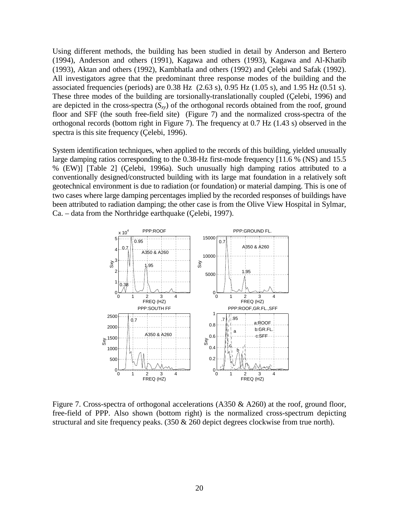Using different methods, the building has been studied in detail by Anderson and Bertero (1994), Anderson and others (1991), Kagawa and others (1993), Kagawa and Al-Khatib (1993), Aktan and others (1992), Kambhatla and others (1992) and Çelebi and Safak (1992). All investigators agree that the predominant three response modes of the building and the associated frequencies (periods) are  $0.38$  Hz  $(2.63 \text{ s})$ ,  $0.95$  Hz  $(1.05 \text{ s})$ , and  $1.95$  Hz  $(0.51 \text{ s})$ . These three modes of the building are torsionally-translationally coupled (Çelebi, 1996) and are depicted in the cross-spectra  $(S_{xy})$  of the orthogonal records obtained from the roof, ground floor and SFF (the south free-field site) (Figure 7) and the normalized cross-spectra of the orthogonal records (bottom right in Figure 7). The frequency at 0.7 Hz (1.43 s) observed in the spectra is this site frequency (Çelebi, 1996).

System identification techniques, when applied to the records of this building, yielded unusually large damping ratios corresponding to the 0.38-Hz first-mode frequency [11.6 % (NS) and 15.5 % (EW)] [Table 2] (Çelebi, 1996a). Such unusually high damping ratios attributed to a conventionally designed/constructed building with its large mat foundation in a relatively soft geotechnical environment is due to radiation (or foundation) or material damping. This is one of two cases where large damping percentages implied by the recorded responses of buildings have been attributed to radiation damping; the other case is from the Olive View Hospital in Sylmar, Ca. – data from the Northridge earthquake (Çelebi, 1997).



Figure 7. Cross-spectra of orthogonal accelerations (A350 & A260) at the roof, ground floor, free-field of PPP. Also shown (bottom right) is the normalized cross-spectrum depicting structural and site frequency peaks. (350 & 260 depict degrees clockwise from true north).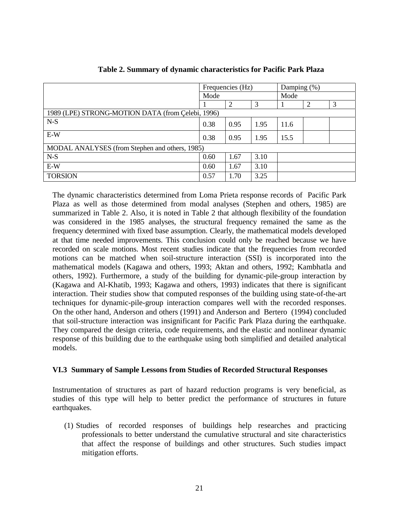<span id="page-20-0"></span>

|                                                   | Frequencies (Hz) |      | Damping $(\%)$ |      |   |   |
|---------------------------------------------------|------------------|------|----------------|------|---|---|
|                                                   | Mode             |      |                | Mode |   |   |
|                                                   |                  | 2    | 3              |      | 2 | 3 |
| 1989 (LPE) STRONG-MOTION DATA (from Çelebi, 1996) |                  |      |                |      |   |   |
| $N-S$                                             | 0.38             | 0.95 | 1.95           | 11.6 |   |   |
| $E-W$                                             | 0.38             | 0.95 | 1.95           | 15.5 |   |   |
| MODAL ANALYSES (from Stephen and others, 1985)    |                  |      |                |      |   |   |
| $N-S$                                             | 0.60             | 1.67 | 3.10           |      |   |   |
| $E-W$                                             | 0.60             | 1.67 | 3.10           |      |   |   |
| <b>TORSION</b>                                    | 0.57             | 1.70 | 3.25           |      |   |   |

| Table 2. Summary of dynamic characteristics for Pacific Park Plaza |  |  |  |
|--------------------------------------------------------------------|--|--|--|
|                                                                    |  |  |  |

The dynamic characteristics determined from Loma Prieta response records of Pacific Park Plaza as well as those determined from modal analyses (Stephen and others, 1985) are summarized in Table 2. Also, it is noted in Table 2 that although flexibility of the foundation was considered in the 1985 analyses, the structural frequency remained the same as the frequency determined with fixed base assumption. Clearly, the mathematical models developed at that time needed improvements. This conclusion could only be reached because we have recorded on scale motions. Most recent studies indicate that the frequencies from recorded motions can be matched when soil-structure interaction (SSI) is incorporated into the mathematical models (Kagawa and others, 1993; Aktan and others, 1992; Kambhatla and others, 1992). Furthermore, a study of the building for dynamic-pile-group interaction by (Kagawa and Al-Khatib, 1993; Kagawa and others, 1993) indicates that there is significant interaction. Their studies show that computed responses of the building using state-of-the-art techniques for dynamic-pile-group interaction compares well with the recorded responses. On the other hand, Anderson and others (1991) and Anderson and Bertero (1994) concluded that soil-structure interaction was insignificant for Pacific Park Plaza during the earthquake. They compared the design criteria, code requirements, and the elastic and nonlinear dynamic response of this building due to the earthquake using both simplified and detailed analytical models.

#### **VI.3 Summary of Sample Lessons from Studies of Recorded Structural Responses**

Instrumentation of structures as part of hazard reduction programs is very beneficial, as studies of this type will help to better predict the performance of structures in future earthquakes.

(1) Studies of recorded responses of buildings help researches and practicing professionals to better understand the cumulative structural and site characteristics that affect the response of buildings and other structures. Such studies impact mitigation efforts.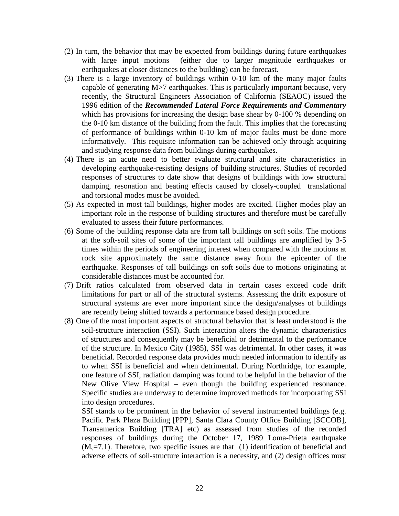- (2) In turn, the behavior that may be expected from buildings during future earthquakes with large input motions (either due to larger magnitude earthquakes or earthquakes at closer distances to the building) can be forecast.
- (3) There is a large inventory of buildings within 0-10 km of the many major faults capable of generating M>7 earthquakes. This is particularly important because, very recently, the Structural Engineers Association of California (SEAOC) issued the 1996 edition of the *Recommended Lateral Force Requirements and Commentary* which has provisions for increasing the design base shear by 0-100 % depending on the 0-10 km distance of the building from the fault. This implies that the forecasting of performance of buildings within 0-10 km of major faults must be done more informatively. This requisite information can be achieved only through acquiring and studying response data from buildings during earthquakes.
- (4) There is an acute need to better evaluate structural and site characteristics in developing earthquake-resisting designs of building structures. Studies of recorded responses of structures to date show that designs of buildings with low structural damping, resonation and beating effects caused by closely-coupled translational and torsional modes must be avoided.
- (5) As expected in most tall buildings, higher modes are excited. Higher modes play an important role in the response of building structures and therefore must be carefully evaluated to assess their future performances.
- (6) Some of the building response data are from tall buildings on soft soils. The motions at the soft-soil sites of some of the important tall buildings are amplified by 3-5 times within the periods of engineering interest when compared with the motions at rock site approximately the same distance away from the epicenter of the earthquake. Responses of tall buildings on soft soils due to motions originating at considerable distances must be accounted for.
- (7) Drift ratios calculated from observed data in certain cases exceed code drift limitations for part or all of the structural systems. Assessing the drift exposure of structural systems are ever more important since the design/analyses of buildings are recently being shifted towards a performance based design procedure.
- (8) One of the most important aspects of structural behavior that is least understood is the soil-structure interaction (SSI). Such interaction alters the dynamic characteristics of structures and consequently may be beneficial or detrimental to the performance of the structure. In Mexico City (1985), SSI was detrimental. In other cases, it was beneficial. Recorded response data provides much needed information to identify as to when SSI is beneficial and when detrimental. During Northridge, for example, one feature of SSI, radiation damping was found to be helpful in the behavior of the New Olive View Hospital – even though the building experienced resonance. Specific studies are underway to determine improved methods for incorporating SSI into design procedures.

 SSI stands to be prominent in the behavior of several instrumented buildings (e.g. Pacific Park Plaza Building [PPP], Santa Clara County Office Building [SCCOB], Transamerica Building [TRA] etc) as assessed from studies of the recorded responses of buildings during the October 17, 1989 Loma-Prieta earthquake  $(M_s=7.1)$ . Therefore, two specific issues are that (1) identification of beneficial and adverse effects of soil-structure interaction is a necessity, and (2) design offices must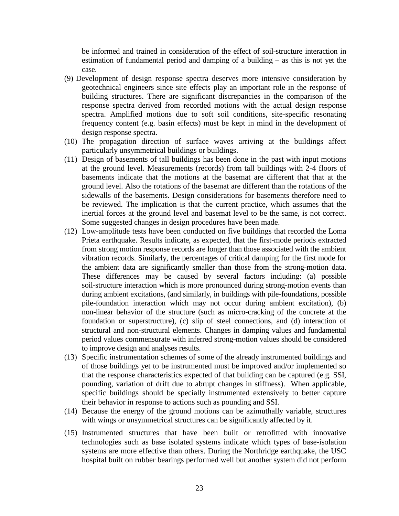be informed and trained in consideration of the effect of soil-structure interaction in estimation of fundamental period and damping of a building – as this is not yet the case.

- (9) Development of design response spectra deserves more intensive consideration by geotechnical engineers since site effects play an important role in the response of building structures. There are significant discrepancies in the comparison of the response spectra derived from recorded motions with the actual design response spectra. Amplified motions due to soft soil conditions, site-specific resonating frequency content (e.g. basin effects) must be kept in mind in the development of design response spectra.
- (10) The propagation direction of surface waves arriving at the buildings affect particularly unsymmetrical buildings or buildings.
- (11) Design of basements of tall buildings has been done in the past with input motions at the ground level. Measurements (records) from tall buildings with 2-4 floors of basements indicate that the motions at the basemat are different that that at the ground level. Also the rotations of the basemat are different than the rotations of the sidewalls of the basements. Design considerations for basements therefore need to be reviewed. The implication is that the current practice, which assumes that the inertial forces at the ground level and basemat level to be the same, is not correct. Some suggested changes in design procedures have been made.
- (12) Low-amplitude tests have been conducted on five buildings that recorded the Loma Prieta earthquake. Results indicate, as expected, that the first-mode periods extracted from strong motion response records are longer than those associated with the ambient vibration records. Similarly, the percentages of critical damping for the first mode for the ambient data are significantly smaller than those from the strong-motion data. These differences may be caused by several factors including: (a) possible soil-structure interaction which is more pronounced during strong-motion events than during ambient excitations, (and similarly, in buildings with pile-foundations, possible pile-foundation interaction which may not occur during ambient excitation), (b) non-linear behavior of the structure (such as micro-cracking of the concrete at the foundation or superstructure), (c) slip of steel connections, and (d) interaction of structural and non-structural elements. Changes in damping values and fundamental period values commensurate with inferred strong-motion values should be considered to improve design and analyses results.
- (13) Specific instrumentation schemes of some of the already instrumented buildings and of those buildings yet to be instrumented must be improved and/or implemented so that the response characteristics expected of that building can be captured (e.g. SSI, pounding, variation of drift due to abrupt changes in stiffness). When applicable, specific buildings should be specially instrumented extensively to better capture their behavior in response to actions such as pounding and SSI.
- (14) Because the energy of the ground motions can be azimuthally variable, structures with wings or unsymmetrical structures can be significantly affected by it.
- (15) Instrumented structures that have been built or retrofitted with innovative technologies such as base isolated systems indicate which types of base-isolation systems are more effective than others. During the Northridge earthquake, the USC hospital built on rubber bearings performed well but another system did not perform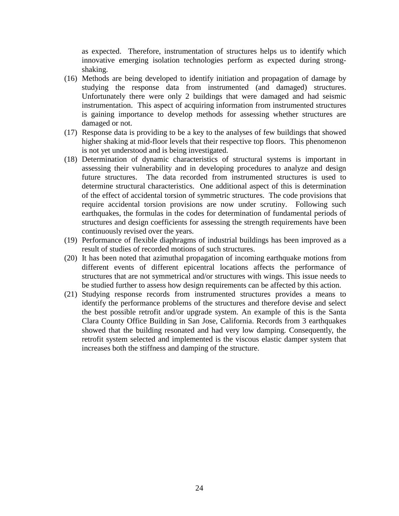as expected. Therefore, instrumentation of structures helps us to identify which innovative emerging isolation technologies perform as expected during strongshaking.

- (16) Methods are being developed to identify initiation and propagation of damage by studying the response data from instrumented (and damaged) structures. Unfortunately there were only 2 buildings that were damaged and had seismic instrumentation. This aspect of acquiring information from instrumented structures is gaining importance to develop methods for assessing whether structures are damaged or not.
- (17) Response data is providing to be a key to the analyses of few buildings that showed higher shaking at mid-floor levels that their respective top floors. This phenomenon is not yet understood and is being investigated.
- (18) Determination of dynamic characteristics of structural systems is important in assessing their vulnerability and in developing procedures to analyze and design future structures. The data recorded from instrumented structures is used to determine structural characteristics. One additional aspect of this is determination of the effect of accidental torsion of symmetric structures. The code provisions that require accidental torsion provisions are now under scrutiny. Following such earthquakes, the formulas in the codes for determination of fundamental periods of structures and design coefficients for assessing the strength requirements have been continuously revised over the years.
- (19) Performance of flexible diaphragms of industrial buildings has been improved as a result of studies of recorded motions of such structures.
- (20) It has been noted that azimuthal propagation of incoming earthquake motions from different events of different epicentral locations affects the performance of structures that are not symmetrical and/or structures with wings. This issue needs to be studied further to assess how design requirements can be affected by this action.
- (21) Studying response records from instrumented structures provides a means to identify the performance problems of the structures and therefore devise and select the best possible retrofit and/or upgrade system. An example of this is the Santa Clara County Office Building in San Jose, California. Records from 3 earthquakes showed that the building resonated and had very low damping. Consequently, the retrofit system selected and implemented is the viscous elastic damper system that increases both the stiffness and damping of the structure.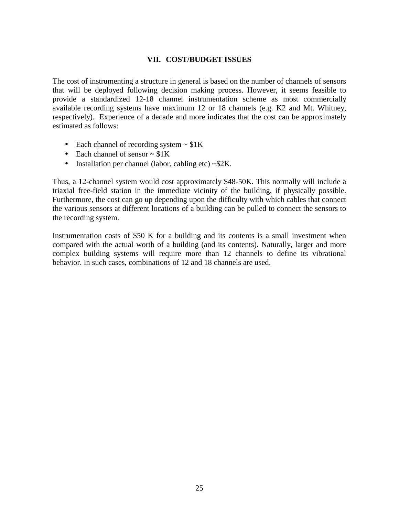#### **VII. COST/BUDGET ISSUES**

<span id="page-24-0"></span>The cost of instrumenting a structure in general is based on the number of channels of sensors that will be deployed following decision making process. However, it seems feasible to provide a standardized 12-18 channel instrumentation scheme as most commercially available recording systems have maximum 12 or 18 channels (e.g. K2 and Mt. Whitney, respectively). Experience of a decade and more indicates that the cost can be approximately estimated as follows:

- Each channel of recording system  $\sim$  \$1K
- Each channel of sensor  $\sim$  \$1K
- Installation per channel (labor, cabling etc) ~\$2K.

Thus, a 12-channel system would cost approximately \$48-50K. This normally will include a triaxial free-field station in the immediate vicinity of the building, if physically possible. Furthermore, the cost can go up depending upon the difficulty with which cables that connect the various sensors at different locations of a building can be pulled to connect the sensors to the recording system.

Instrumentation costs of \$50 K for a building and its contents is a small investment when compared with the actual worth of a building (and its contents). Naturally, larger and more complex building systems will require more than 12 channels to define its vibrational behavior. In such cases, combinations of 12 and 18 channels are used.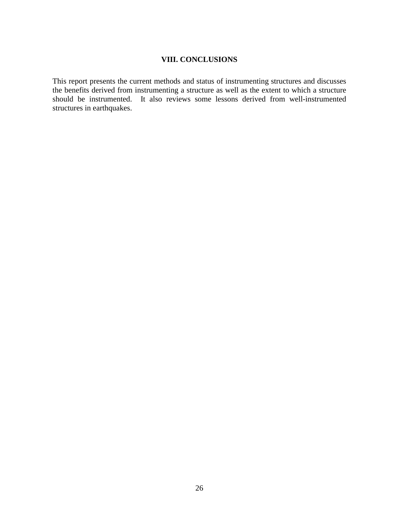#### **VIII. CONCLUSIONS**

<span id="page-25-0"></span>This report presents the current methods and status of instrumenting structures and discusses the benefits derived from instrumenting a structure as well as the extent to which a structure should be instrumented. It also reviews some lessons derived from well-instrumented structures in earthquakes.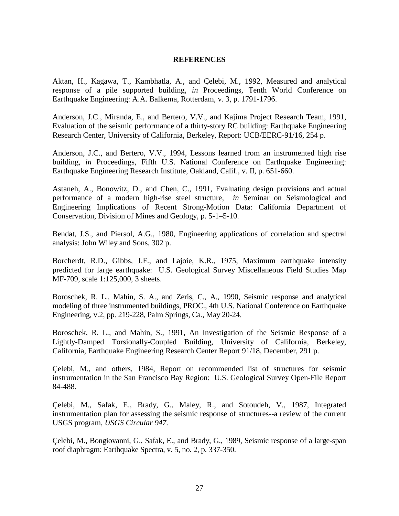#### **REFERENCES**

<span id="page-26-0"></span>Aktan, H., Kagawa, T., Kambhatla, A., and Çelebi, M., 1992, Measured and analytical response of a pile supported building, *in* Proceedings, Tenth World Conference on Earthquake Engineering: A.A. Balkema, Rotterdam, v. 3, p. 1791-1796.

Anderson, J.C., Miranda, E., and Bertero, V.V., and Kajima Project Research Team, 1991, Evaluation of the seismic performance of a thirty-story RC building: Earthquake Engineering Research Center, University of California, Berkeley, Report: UCB/EERC-91/16, 254 p.

Anderson, J.C., and Bertero, V.V., 1994, Lessons learned from an instrumented high rise building, *in* Proceedings, Fifth U.S. National Conference on Earthquake Engineering: Earthquake Engineering Research Institute, Oakland, Calif., v. II, p. 651-660.

Astaneh, A., Bonowitz, D., and Chen, C., 1991, Evaluating design provisions and actual performance of a modern high-rise steel structure, *in* Seminar on Seismological and Engineering Implications of Recent Strong-Motion Data: California Department of Conservation, Division of Mines and Geology, p. 5-1–5-10.

Bendat, J.S., and Piersol, A.G., 1980, Engineering applications of correlation and spectral analysis: John Wiley and Sons, 302 p.

Borcherdt, R.D., Gibbs, J.F., and Lajoie, K.R., 1975, Maximum earthquake intensity predicted for large earthquake: U.S. Geological Survey Miscellaneous Field Studies Map MF-709, scale 1:125,000, 3 sheets.

Boroschek, R. L., Mahin, S. A., and Zeris, C., A., 1990, Seismic response and analytical modeling of three instrumented buildings, PROC., 4th U.S. National Conference on Earthquake Engineering, v.2, pp. 219-228, Palm Springs, Ca., May 20-24.

Boroschek, R. L., and Mahin, S., 1991, An Investigation of the Seismic Response of a Lightly-Damped Torsionally-Coupled Building, University of California, Berkeley, California, Earthquake Engineering Research Center Report 91/18, December, 291 p.

Çelebi, M., and others, 1984, Report on recommended list of structures for seismic instrumentation in the San Francisco Bay Region: U.S. Geological Survey Open-File Report 84-488.

Çelebi, M., Safak, E., Brady, G., Maley, R., and Sotoudeh, V., 1987, Integrated instrumentation plan for assessing the seismic response of structures--a review of the current USGS program, *USGS Circular 947.*

Çelebi, M., Bongiovanni, G., Safak, E., and Brady, G., 1989, Seismic response of a large-span roof diaphragm: Earthquake Spectra, v. 5, no. 2, p. 337-350.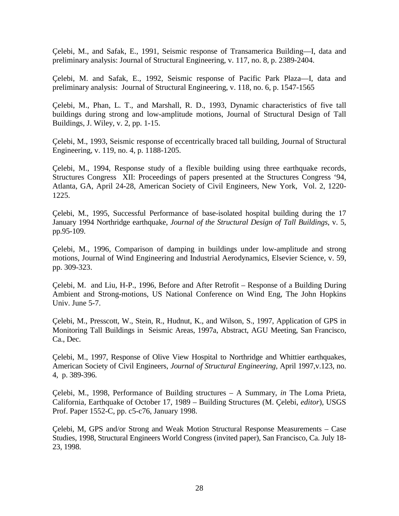Çelebi, M., and Safak, E., 1991, Seismic response of Transamerica Building—I, data and preliminary analysis: Journal of Structural Engineering, v. 117, no. 8, p. 2389-2404.

Çelebi, M. and Safak, E., 1992, Seismic response of Pacific Park Plaza—I, data and preliminary analysis: Journal of Structural Engineering, v. 118, no. 6, p. 1547-1565

Çelebi, M., Phan, L. T., and Marshall, R. D., 1993, Dynamic characteristics of five tall buildings during strong and low-amplitude motions, Journal of Structural Design of Tall Buildings, J. Wiley, v. 2, pp. 1-15.

Çelebi, M., 1993, Seismic response of eccentrically braced tall building, Journal of Structural Engineering, v. 119, no. 4, p. 1188-1205.

Çelebi, M., 1994, Response study of a flexible building using three earthquake records, Structures Congress XII: Proceedings of papers presented at the Structures Congress '94, Atlanta, GA, April 24-28, American Society of Civil Engineers, New York, Vol. 2, 1220- 1225.

Çelebi, M., 1995, Successful Performance of base-isolated hospital building during the 17 January 1994 Northridge earthquake, *Journal of the Structural Design of Tall Buildings*, v. 5, pp.95-109.

Çelebi, M., 1996, Comparison of damping in buildings under low-amplitude and strong motions, Journal of Wind Engineering and Industrial Aerodynamics, Elsevier Science, v. 59, pp. 309-323.

Çelebi, M. and Liu, H-P., 1996, Before and After Retrofit – Response of a Building During Ambient and Strong-motions, US National Conference on Wind Eng, The John Hopkins Univ. June 5-7.

Çelebi, M., Presscott, W., Stein, R., Hudnut, K., and Wilson, S., 1997, Application of GPS in Monitoring Tall Buildings in Seismic Areas, 1997a, Abstract, AGU Meeting, San Francisco, Ca., Dec.

Çelebi, M., 1997, Response of Olive View Hospital to Northridge and Whittier earthquakes, American Society of Civil Engineers, *Journal of Structural Engineering*, April 1997,v.123, no. 4, p. 389-396.

Çelebi, M., 1998, Performance of Building structures – A Summary, *in* The Loma Prieta, California, Earthquake of October 17, 1989 – Building Structures (M. Çelebi, *editor*), USGS Prof. Paper 1552-C, pp. c5-c76, January 1998.

Çelebi, M, GPS and/or Strong and Weak Motion Structural Response Measurements – Case Studies, 1998, Structural Engineers World Congress (invited paper), San Francisco, Ca. July 18- 23, 1998.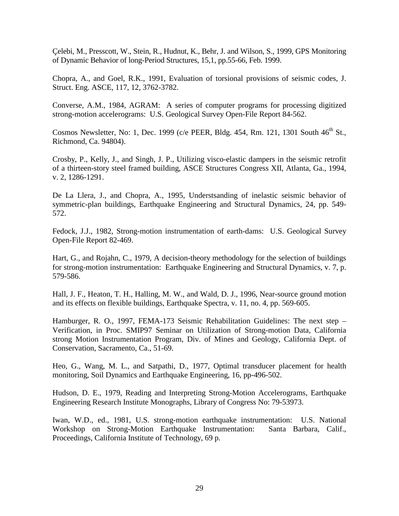Çelebi, M., Presscott, W., Stein, R., Hudnut, K., Behr, J. and Wilson, S., 1999, GPS Monitoring of Dynamic Behavior of long-Period Structures, 15,1, pp.55-66, Feb. 1999.

Chopra, A., and Goel, R.K., 1991, Evaluation of torsional provisions of seismic codes, J. Struct. Eng. ASCE, 117, 12, 3762-3782.

Converse, A.M., 1984, AGRAM: A series of computer programs for processing digitized strong-motion accelerograms: U.S. Geological Survey Open-File Report 84-562.

Cosmos Newsletter, No: 1, Dec. 1999 (c/e PEER, Bldg. 454, Rm. 121, 1301 South  $46<sup>th</sup>$  St., Richmond, Ca. 94804).

Crosby, P., Kelly, J., and Singh, J. P., Utilizing visco-elastic dampers in the seismic retrofit of a thirteen-story steel framed building, ASCE Structures Congress XII, Atlanta, Ga., 1994, v. 2, 1286-1291.

De La Llera, J., and Chopra, A., 1995, Understsanding of inelastic seismic behavior of symmetric-plan buildings, Earthquake Engineering and Structural Dynamics, 24, pp. 549- 572.

Fedock, J.J., 1982, Strong-motion instrumentation of earth-dams: U.S. Geological Survey Open-File Report 82-469.

Hart, G., and Rojahn, C., 1979, A decision-theory methodology for the selection of buildings for strong-motion instrumentation: Earthquake Engineering and Structural Dynamics, v. 7, p. 579-586.

Hall, J. F., Heaton, T. H., Halling, M. W., and Wald, D. J., 1996, Near-source ground motion and its effects on flexible buildings, Earthquake Spectra, v. 11, no. 4, pp. 569-605.

Hamburger, R. O., 1997, FEMA-173 Seismic Rehabilitation Guidelines: The next step – Verification, in Proc. SMIP97 Seminar on Utilization of Strong-motion Data, California strong Motion Instrumentation Program, Div. of Mines and Geology, California Dept. of Conservation, Sacramento, Ca., 51-69.

Heo, G., Wang, M. L., and Satpathi, D., 1977, Optimal transducer placement for health monitoring, Soil Dynamics and Earthquake Engineering, 16, pp-496-502.

Hudson, D. E., 1979, Reading and Interpreting Strong-Motion Accelerograms, Earthquake Engineering Research Institute Monographs, Library of Congress No: 79-53973.

Iwan, W.D., ed., 1981, U.S. strong-motion earthquake instrumentation: U.S. National Workshop on Strong-Motion Earthquake Instrumentation: Santa Barbara, Calif., Proceedings, California Institute of Technology, 69 p.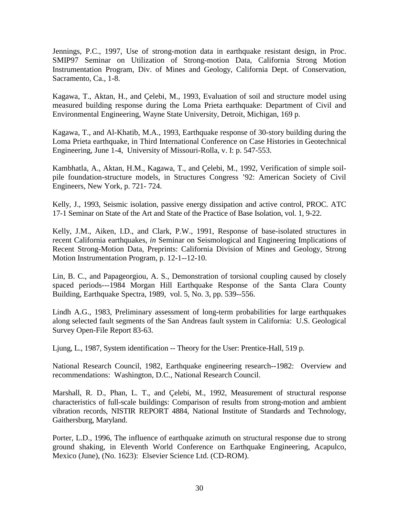Jennings, P.C., 1997, Use of strong-motion data in earthquake resistant design, in Proc. SMIP97 Seminar on Utilization of Strong-motion Data, California Strong Motion Instrumentation Program, Div. of Mines and Geology, California Dept. of Conservation, Sacramento, Ca., 1-8.

Kagawa, T., Aktan, H., and Çelebi, M., 1993, Evaluation of soil and structure model using measured building response during the Loma Prieta earthquake: Department of Civil and Environmental Engineering, Wayne State University, Detroit, Michigan, 169 p.

Kagawa, T., and Al-Khatib, M.A., 1993, Earthquake response of 30-story building during the Loma Prieta earthquake, in Third International Conference on Case Histories in Geotechnical Engineering, June 1-4, University of Missouri-Rolla, v. I: p. 547-553.

Kambhatla, A., Aktan, H.M., Kagawa, T., and Çelebi, M., 1992, Verification of simple soilpile foundation-structure models, in Structures Congress '92: American Society of Civil Engineers, New York, p. 721- 724.

Kelly, J., 1993, Seismic isolation, passive energy dissipation and active control, PROC. ATC 17-1 Seminar on State of the Art and State of the Practice of Base Isolation, vol. 1, 9-22.

Kelly, J.M., Aiken, I.D., and Clark, P.W., 1991, Response of base-isolated structures in recent California earthquakes, *in* Seminar on Seismological and Engineering Implications of Recent Strong-Motion Data, Preprints: California Division of Mines and Geology, Strong Motion Instrumentation Program, p. 12-1--12-10.

Lin, B. C., and Papageorgiou, A. S., Demonstration of torsional coupling caused by closely spaced periods---1984 Morgan Hill Earthquake Response of the Santa Clara County Building, Earthquake Spectra, 1989, vol. 5, No. 3, pp. 539--556.

Lindh A.G., 1983, Preliminary assessment of long-term probabilities for large earthquakes along selected fault segments of the San Andreas fault system in California: U.S. Geological Survey Open-File Report 83-63.

Ljung, L., 1987, System identification -- Theory for the User: Prentice-Hall, 519 p.

National Research Council, 1982, Earthquake engineering research--1982: Overview and recommendations: Washington, D.C., National Research Council.

Marshall, R. D., Phan, L. T., and Çelebi, M., 1992, Measurement of structural response characteristics of full-scale buildings: Comparison of results from strong-motion and ambient vibration records, NISTIR REPORT 4884, National Institute of Standards and Technology, Gaithersburg, Maryland.

Porter, L.D., 1996, The influence of earthquake azimuth on structural response due to strong ground shaking, in Eleventh World Conference on Earthquake Engineering, Acapulco, Mexico (June), (No. 1623): Elsevier Science Ltd. (CD-ROM).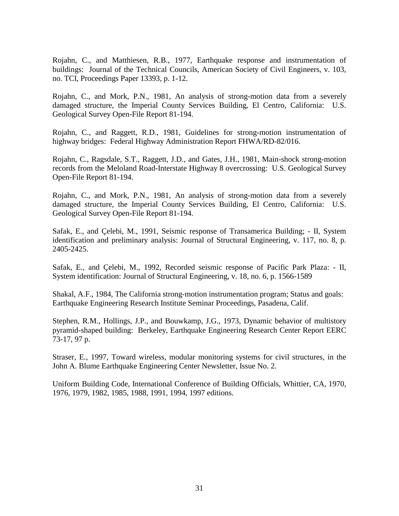Rojahn, C., and Matthiesen, R.B., 1977, Earthquake response and instrumentation of buildings: Journal of the Technical Councils, American Society of Civil Engineers, v. 103, no. TCI, Proceedings Paper 13393, p. 1-12.

Rojahn, C., and Mork, P.N., 1981, An analysis of strong-motion data from a severely damaged structure, the Imperial County Services Building, El Centro, California: U.S. Geological Survey Open-File Report 81-194.

Rojahn, C., and Raggett, R.D., 1981, Guidelines for strong-motion instrumentation of highway bridges: Federal Highway Administration Report FHWA/RD-82/016.

Rojahn, C., Ragsdale, S.T., Raggett, J.D., and Gates, J.H., 1981, Main-shock strong-motion records from the Meloland Road-Interstate Highway 8 overcrossing: U.S. Geological Survey Open-File Report 81-194.

Rojahn, C., and Mork, P.N., 1981, An analysis of strong-motion data from a severely damaged structure, the Imperial County Services Building, El Centro, California: U.S. Geological Survey Open-File Report 81-194.

Safak, E., and Çelebi, M., 1991, Seismic response of Transamerica Building; - II, System identification and preliminary analysis: Journal of Structural Engineering, v. 117, no. 8, p. 2405-2425.

Safak, E., and Çelebi, M., 1992, Recorded seismic response of Pacific Park Plaza: - II, System identification: Journal of Structural Engineering, v. 18, no. 6, p. 1566-1589

Shakal, A.F., 1984, The California strong-motion instrumentation program; Status and goals: Earthquake Engineering Research Institute Seminar Proceedings, Pasadena, Calif.

Stephen, R.M., Hollings, J.P., and Bouwkamp, J.G., 1973, Dynamic behavior of multistory pyramid-shaped building: Berkeley, Earthquake Engineering Research Center Report EERC 73-17, 97 p.

Straser, E., 1997, Toward wireless, modular monitoring systems for civil structures, in the John A. Blume Earthquake Engineering Center Newsletter, Issue No. 2.

Uniform Building Code, International Conference of Building Officials, Whittier, CA, 1970, 1976, 1979, 1982, 1985, 1988, 1991, 1994, 1997 editions.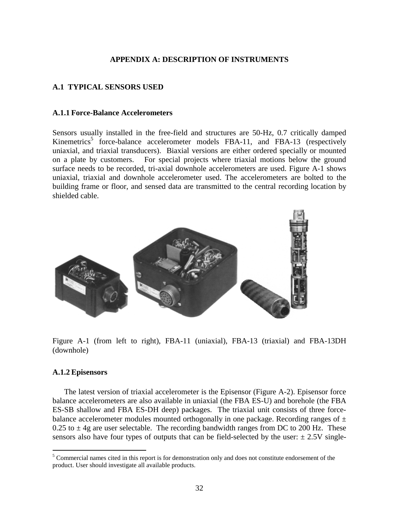#### **APPENDIX A: DESCRIPTION OF INSTRUMENTS**

#### <span id="page-31-0"></span>**A.1 TYPICAL SENSORS USED**

#### **A.1.1 Force-Balance Accelerometers**

Sensors usually installed in the free-field and structures are 50-Hz, 0.7 critically damped Kinemetrics<sup>5</sup> force-balance accelerometer models FBA-11, and FBA-13 (respectively uniaxial, and triaxial transducers). Biaxial versions are either ordered specially or mounted on a plate by customers. For special projects where triaxial motions below the ground surface needs to be recorded, tri-axial downhole accelerometers are used. Figure A-1 shows uniaxial, triaxial and downhole accelerometer used. The accelerometers are bolted to the building frame or floor, and sensed data are transmitted to the central recording location by shielded cable.



Figure A-1 (from left to right), FBA-11 (uniaxial), FBA-13 (triaxial) and FBA-13DH (downhole)

#### **A.1.2 Episensors**

 $\overline{a}$ 

The latest version of triaxial accelerometer is the Episensor (Figure A-2). Episensor force balance accelerometers are also available in uniaxial (the FBA ES-U) and borehole (the FBA ES-SB shallow and FBA ES-DH deep) packages. The triaxial unit consists of three forcebalance accelerometer modules mounted orthogonally in one package. Recording ranges of  $\pm$ 0.25 to  $\pm$  4g are user selectable. The recording bandwidth ranges from DC to 200 Hz. These sensors also have four types of outputs that can be field-selected by the user:  $\pm 2.5V$  single-

<sup>&</sup>lt;sup>5</sup> Commercial names cited in this report is for demonstration only and does not constitute endorsement of the product. User should investigate all available products.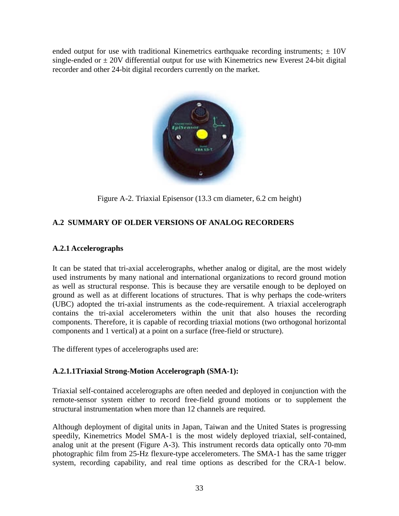<span id="page-32-0"></span>ended output for use with traditional Kinemetrics earthquake recording instruments;  $\pm 10V$ single-ended or  $\pm$  20V differential output for use with Kinemetrics new Everest 24-bit digital recorder and other 24-bit digital recorders currently on the market.



Figure A-2. Triaxial Episensor (13.3 cm diameter, 6.2 cm height)

## **A.2 SUMMARY OF OLDER VERSIONS OF ANALOG RECORDERS**

## **A.2.1 Accelerographs**

It can be stated that tri-axial accelerographs, whether analog or digital, are the most widely used instruments by many national and international organizations to record ground motion as well as structural response. This is because they are versatile enough to be deployed on ground as well as at different locations of structures. That is why perhaps the code-writers (UBC) adopted the tri-axial instruments as the code-requirement. A triaxial accelerograph contains the tri-axial accelerometers within the unit that also houses the recording components. Therefore, it is capable of recording triaxial motions (two orthogonal horizontal components and 1 vertical) at a point on a surface (free-field or structure).

The different types of accelerographs used are:

## **A.2.1.1Triaxial Strong-Motion Accelerograph (SMA-1):**

Triaxial self-contained accelerographs are often needed and deployed in conjunction with the remote-sensor system either to record free-field ground motions or to supplement the structural instrumentation when more than 12 channels are required.

Although deployment of digital units in Japan, Taiwan and the United States is progressing speedily, Kinemetrics Model SMA-1 is the most widely deployed triaxial, self-contained, analog unit at the present (Figure A-3). This instrument records data optically onto 70-mm photographic film from 25-Hz flexure-type accelerometers. The SMA-1 has the same trigger system, recording capability, and real time options as described for the CRA-1 below.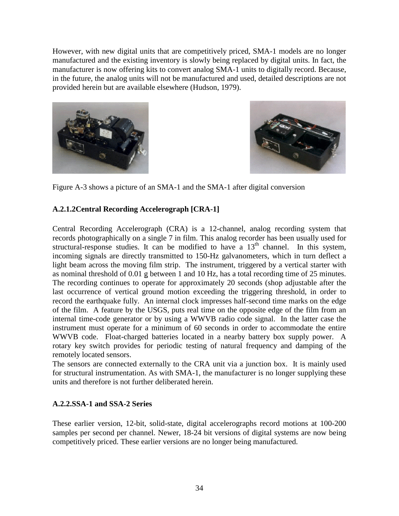<span id="page-33-0"></span>However, with new digital units that are competitively priced, SMA-1 models are no longer manufactured and the existing inventory is slowly being replaced by digital units. In fact, the manufacturer is now offering kits to convert analog SMA-1 units to digitally record. Because, in the future, the analog units will not be manufactured and used, detailed descriptions are not provided herein but are available elsewhere (Hudson, 1979).





Figure A-3 shows a picture of an SMA-1 and the SMA-1 after digital conversion

## **A.2.1.2Central Recording Accelerograph [CRA-1]**

Central Recording Accelerograph (CRA) is a 12-channel, analog recording system that records photographically on a single 7 in film. This analog recorder has been usually used for structural-response studies. It can be modified to have a  $13<sup>th</sup>$  channel. In this system, incoming signals are directly transmitted to 150-Hz galvanometers, which in turn deflect a light beam across the moving film strip. The instrument, triggered by a vertical starter with as nominal threshold of 0.01 g between 1 and 10 Hz, has a total recording time of 25 minutes. The recording continues to operate for approximately 20 seconds (shop adjustable after the last occurrence of vertical ground motion exceeding the triggering threshold, in order to record the earthquake fully. An internal clock impresses half-second time marks on the edge of the film. A feature by the USGS, puts real time on the opposite edge of the film from an internal time-code generator or by using a WWVB radio code signal. In the latter case the instrument must operate for a minimum of 60 seconds in order to accommodate the entire WWVB code. Float-charged batteries located in a nearby battery box supply power. A rotary key switch provides for periodic testing of natural frequency and damping of the remotely located sensors.

The sensors are connected externally to the CRA unit via a junction box. It is mainly used for structural instrumentation. As with SMA-1, the manufacturer is no longer supplying these units and therefore is not further deliberated herein.

## **A.2.2.SSA-1 and SSA-2 Series**

These earlier version, 12-bit, solid-state, digital accelerographs record motions at 100-200 samples per second per channel. Newer, 18-24 bit versions of digital systems are now being competitively priced. These earlier versions are no longer being manufactured.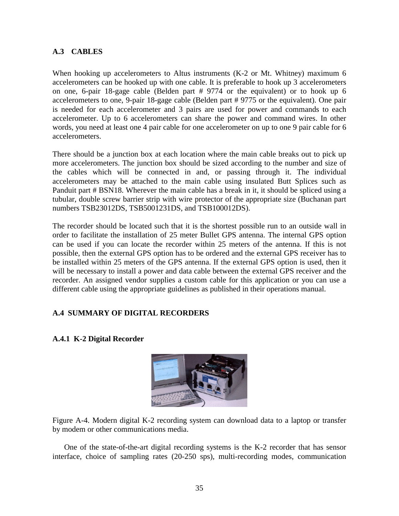## <span id="page-34-0"></span>**A.3 CABLES**

When hooking up accelerometers to Altus instruments (K-2 or Mt. Whitney) maximum 6 accelerometers can be hooked up with one cable. It is preferable to hook up 3 accelerometers on one, 6-pair 18-gage cable (Belden part # 9774 or the equivalent) or to hook up 6 accelerometers to one, 9-pair 18-gage cable (Belden part # 9775 or the equivalent). One pair is needed for each accelerometer and 3 pairs are used for power and commands to each accelerometer. Up to 6 accelerometers can share the power and command wires. In other words, you need at least one 4 pair cable for one accelerometer on up to one 9 pair cable for 6 accelerometers.

There should be a junction box at each location where the main cable breaks out to pick up more accelerometers. The junction box should be sized according to the number and size of the cables which will be connected in and, or passing through it. The individual accelerometers may be attached to the main cable using insulated Butt Splices such as Panduit part # BSN18. Wherever the main cable has a break in it, it should be spliced using a tubular, double screw barrier strip with wire protector of the appropriate size (Buchanan part numbers TSB23012DS, TSB5001231DS, and TSB100012DS).

The recorder should be located such that it is the shortest possible run to an outside wall in order to facilitate the installation of 25 meter Bullet GPS antenna. The internal GPS option can be used if you can locate the recorder within 25 meters of the antenna. If this is not possible, then the external GPS option has to be ordered and the external GPS receiver has to be installed within 25 meters of the GPS antenna. If the external GPS option is used, then it will be necessary to install a power and data cable between the external GPS receiver and the recorder. An assigned vendor supplies a custom cable for this application or you can use a different cable using the appropriate guidelines as published in their operations manual.

## **A.4 SUMMARY OF DIGITAL RECORDERS**



## **A.4.1 K-2 Digital Recorder**

Figure A-4. Modern digital K-2 recording system can download data to a laptop or transfer by modem or other communications media.

One of the state-of-the-art digital recording systems is the K-2 recorder that has sensor interface, choice of sampling rates (20-250 sps), multi-recording modes, communication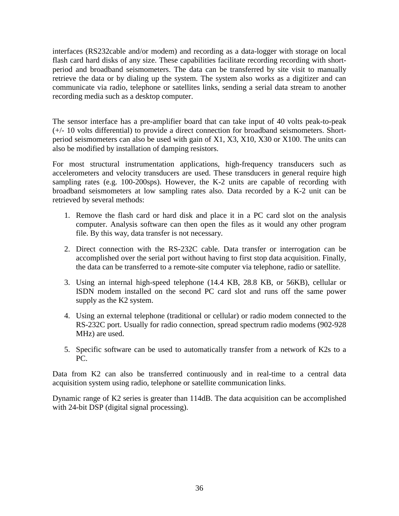interfaces (RS232cable and/or modem) and recording as a data-logger with storage on local flash card hard disks of any size. These capabilities facilitate recording recording with shortperiod and broadband seismometers. The data can be transferred by site visit to manually retrieve the data or by dialing up the system. The system also works as a digitizer and can communicate via radio, telephone or satellites links, sending a serial data stream to another recording media such as a desktop computer.

The sensor interface has a pre-amplifier board that can take input of 40 volts peak-to-peak (+/- 10 volts differential) to provide a direct connection for broadband seismometers. Shortperiod seismometers can also be used with gain of X1, X3, X10, X30 or X100. The units can also be modified by installation of damping resistors.

For most structural instrumentation applications, high-frequency transducers such as accelerometers and velocity transducers are used. These transducers in general require high sampling rates (e.g. 100-200sps). However, the K-2 units are capable of recording with broadband seismometers at low sampling rates also. Data recorded by a K-2 unit can be retrieved by several methods:

- 1. Remove the flash card or hard disk and place it in a PC card slot on the analysis computer. Analysis software can then open the files as it would any other program file. By this way, data transfer is not necessary.
- 2. Direct connection with the RS-232C cable. Data transfer or interrogation can be accomplished over the serial port without having to first stop data acquisition. Finally, the data can be transferred to a remote-site computer via telephone, radio or satellite.
- 3. Using an internal high-speed telephone (14.4 KB, 28.8 KB, or 56KB), cellular or ISDN modem installed on the second PC card slot and runs off the same power supply as the K2 system.
- 4. Using an external telephone (traditional or cellular) or radio modem connected to the RS-232C port. Usually for radio connection, spread spectrum radio modems (902-928 MHz) are used.
- 5. Specific software can be used to automatically transfer from a network of K2s to a PC.

Data from K2 can also be transferred continuously and in real-time to a central data acquisition system using radio, telephone or satellite communication links.

Dynamic range of K2 series is greater than 114dB. The data acquisition can be accomplished with 24-bit DSP (digital signal processing).